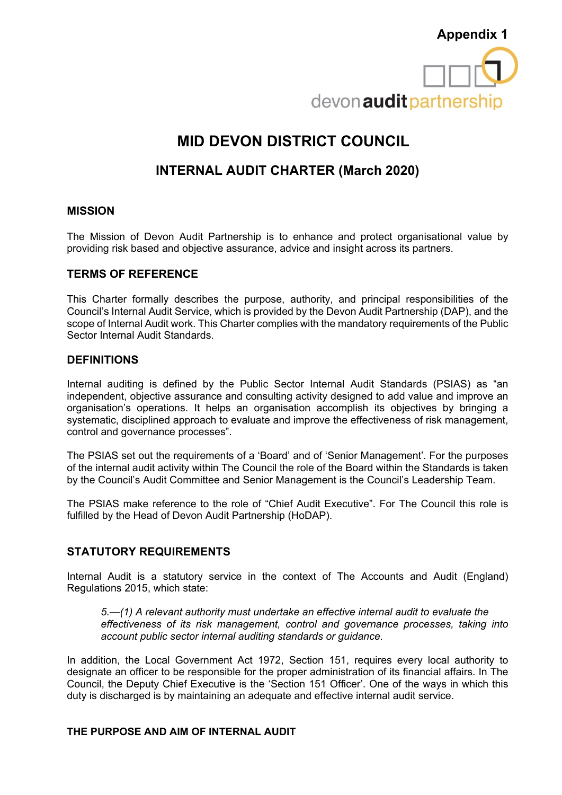

# **MID DEVON DISTRICT COUNCIL**

## **INTERNAL AUDIT CHARTER (March 2020)**

#### **MISSION**

The Mission of Devon Audit Partnership is to enhance and protect organisational value by providing risk based and objective assurance, advice and insight across its partners.

### **TERMS OF REFERENCE**

This Charter formally describes the purpose, authority, and principal responsibilities of the Council's Internal Audit Service, which is provided by the Devon Audit Partnership (DAP), and the scope of Internal Audit work. This Charter complies with the mandatory requirements of the Public Sector Internal Audit Standards.

#### **DEFINITIONS**

Internal auditing is defined by the Public Sector Internal Audit Standards (PSIAS) as "an independent, objective assurance and consulting activity designed to add value and improve an organisation's operations. It helps an organisation accomplish its objectives by bringing a systematic, disciplined approach to evaluate and improve the effectiveness of risk management, control and governance processes".

The PSIAS set out the requirements of a 'Board' and of 'Senior Management'. For the purposes of the internal audit activity within The Council the role of the Board within the Standards is taken by the Council's Audit Committee and Senior Management is the Council's Leadership Team.

The PSIAS make reference to the role of "Chief Audit Executive". For The Council this role is fulfilled by the Head of Devon Audit Partnership (HoDAP).

### **STATUTORY REQUIREMENTS**

Internal Audit is a statutory service in the context of The Accounts and Audit (England) Regulations 2015, which state:

*5.—(1) A relevant authority must undertake an effective internal audit to evaluate the effectiveness of its risk management, control and governance processes, taking into account public sector internal auditing standards or guidance.*

In addition, the Local Government Act 1972, Section 151, requires every local authority to designate an officer to be responsible for the proper administration of its financial affairs. In The Council, the Deputy Chief Executive is the 'Section 151 Officer'. One of the ways in which this duty is discharged is by maintaining an adequate and effective internal audit service.

#### **THE PURPOSE AND AIM OF INTERNAL AUDIT**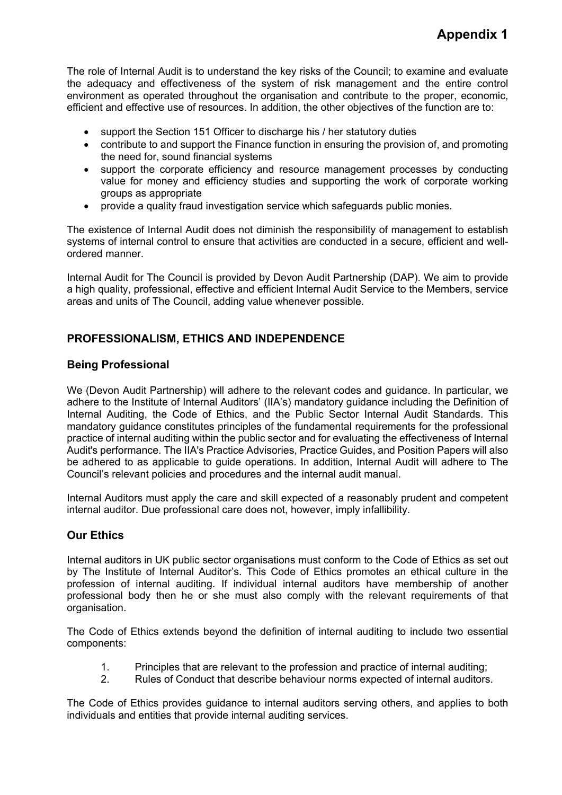The role of Internal Audit is to understand the key risks of the Council; to examine and evaluate the adequacy and effectiveness of the system of risk management and the entire control environment as operated throughout the organisation and contribute to the proper, economic, efficient and effective use of resources. In addition, the other objectives of the function are to:

- support the Section 151 Officer to discharge his / her statutory duties
- contribute to and support the Finance function in ensuring the provision of, and promoting the need for, sound financial systems
- support the corporate efficiency and resource management processes by conducting value for money and efficiency studies and supporting the work of corporate working groups as appropriate
- provide a quality fraud investigation service which safeguards public monies.

The existence of Internal Audit does not diminish the responsibility of management to establish systems of internal control to ensure that activities are conducted in a secure, efficient and wellordered manner.

Internal Audit for The Council is provided by Devon Audit Partnership (DAP). We aim to provide a high quality, professional, effective and efficient Internal Audit Service to the Members, service areas and units of The Council, adding value whenever possible.

## **PROFESSIONALISM, ETHICS AND INDEPENDENCE**

### **Being Professional**

We (Devon Audit Partnership) will adhere to the relevant codes and guidance. In particular, we adhere to the Institute of Internal Auditors' (IIA's) mandatory guidance including the Definition of Internal Auditing, the Code of Ethics, and the Public Sector Internal Audit Standards. This mandatory guidance constitutes principles of the fundamental requirements for the professional practice of internal auditing within the public sector and for evaluating the effectiveness of Internal Audit's performance. The IIA's Practice Advisories, Practice Guides, and Position Papers will also be adhered to as applicable to guide operations. In addition, Internal Audit will adhere to The Council's relevant policies and procedures and the internal audit manual.

Internal Auditors must apply the care and skill expected of a reasonably prudent and competent internal auditor. Due professional care does not, however, imply infallibility.

### **Our Ethics**

Internal auditors in UK public sector organisations must conform to the Code of Ethics as set out by The Institute of Internal Auditor's. This Code of Ethics promotes an ethical culture in the profession of internal auditing. If individual internal auditors have membership of another professional body then he or she must also comply with the relevant requirements of that organisation.

The Code of Ethics extends beyond the definition of internal auditing to include two essential components:

- 1. Principles that are relevant to the profession and practice of internal auditing;
- 2. Rules of Conduct that describe behaviour norms expected of internal auditors.

The Code of Ethics provides guidance to internal auditors serving others, and applies to both individuals and entities that provide internal auditing services.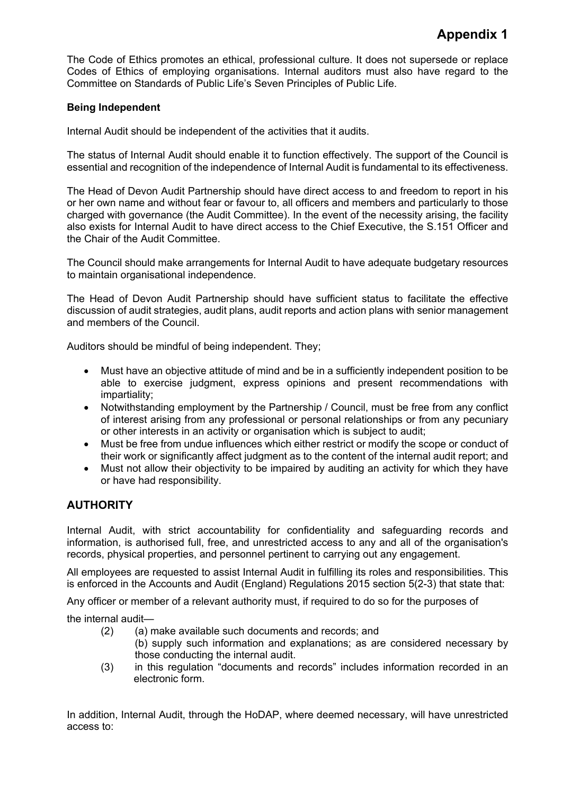The Code of Ethics promotes an ethical, professional culture. It does not supersede or replace Codes of Ethics of employing organisations. Internal auditors must also have regard to the Committee on Standards of Public Life's Seven Principles of Public Life.

#### **Being Independent**

Internal Audit should be independent of the activities that it audits.

The status of Internal Audit should enable it to function effectively. The support of the Council is essential and recognition of the independence of Internal Audit is fundamental to its effectiveness.

The Head of Devon Audit Partnership should have direct access to and freedom to report in his or her own name and without fear or favour to, all officers and members and particularly to those charged with governance (the Audit Committee). In the event of the necessity arising, the facility also exists for Internal Audit to have direct access to the Chief Executive, the S.151 Officer and the Chair of the Audit Committee.

The Council should make arrangements for Internal Audit to have adequate budgetary resources to maintain organisational independence.

The Head of Devon Audit Partnership should have sufficient status to facilitate the effective discussion of audit strategies, audit plans, audit reports and action plans with senior management and members of the Council.

Auditors should be mindful of being independent. They;

- Must have an objective attitude of mind and be in a sufficiently independent position to be able to exercise judgment, express opinions and present recommendations with impartiality;
- Notwithstanding employment by the Partnership / Council, must be free from any conflict of interest arising from any professional or personal relationships or from any pecuniary or other interests in an activity or organisation which is subject to audit;
- Must be free from undue influences which either restrict or modify the scope or conduct of their work or significantly affect judgment as to the content of the internal audit report; and
- Must not allow their objectivity to be impaired by auditing an activity for which they have or have had responsibility.

## **AUTHORITY**

Internal Audit, with strict accountability for confidentiality and safeguarding records and information, is authorised full, free, and unrestricted access to any and all of the organisation's records, physical properties, and personnel pertinent to carrying out any engagement.

All employees are requested to assist Internal Audit in fulfilling its roles and responsibilities. This is enforced in the Accounts and Audit (England) Regulations 2015 section 5(2-3) that state that:

Any officer or member of a relevant authority must, if required to do so for the purposes of

the internal audit—

- (2) (a) make available such documents and records; and
	- (b) supply such information and explanations; as are considered necessary by those conducting the internal audit.
- (3) in this regulation "documents and records" includes information recorded in an electronic form.

In addition, Internal Audit, through the HoDAP, where deemed necessary, will have unrestricted access to: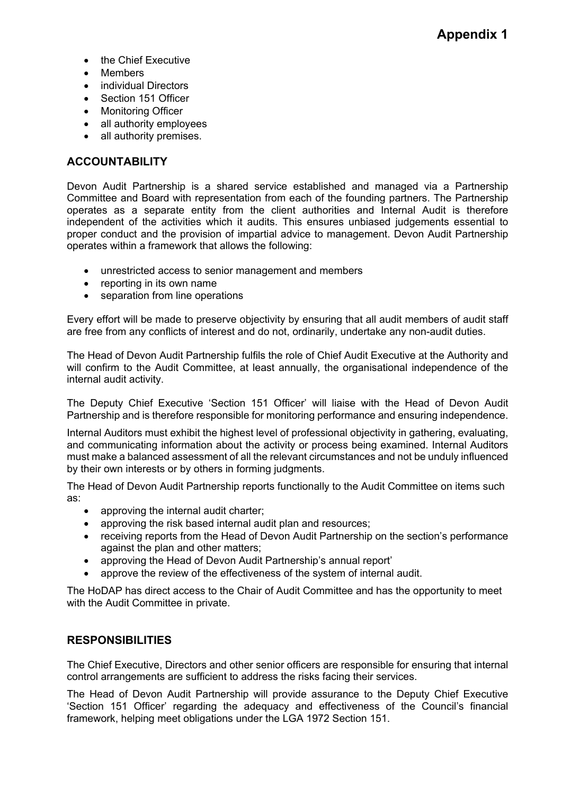- the Chief Executive
- Members
- individual Directors
- Section 151 Officer
- Monitoring Officer
- all authority employees
- all authority premises.

### **ACCOUNTABILITY**

Devon Audit Partnership is a shared service established and managed via a Partnership Committee and Board with representation from each of the founding partners. The Partnership operates as a separate entity from the client authorities and Internal Audit is therefore independent of the activities which it audits. This ensures unbiased judgements essential to proper conduct and the provision of impartial advice to management. Devon Audit Partnership operates within a framework that allows the following:

- unrestricted access to senior management and members
- reporting in its own name
- separation from line operations

Every effort will be made to preserve objectivity by ensuring that all audit members of audit staff are free from any conflicts of interest and do not, ordinarily, undertake any non-audit duties.

The Head of Devon Audit Partnership fulfils the role of Chief Audit Executive at the Authority and will confirm to the Audit Committee, at least annually, the organisational independence of the internal audit activity.

The Deputy Chief Executive 'Section 151 Officer' will liaise with the Head of Devon Audit Partnership and is therefore responsible for monitoring performance and ensuring independence.

Internal Auditors must exhibit the highest level of professional objectivity in gathering, evaluating, and communicating information about the activity or process being examined. Internal Auditors must make a balanced assessment of all the relevant circumstances and not be unduly influenced by their own interests or by others in forming judgments.

The Head of Devon Audit Partnership reports functionally to the Audit Committee on items such as:

- approving the internal audit charter;
- approving the risk based internal audit plan and resources;
- receiving reports from the Head of Devon Audit Partnership on the section's performance against the plan and other matters;
- approving the Head of Devon Audit Partnership's annual report'
- approve the review of the effectiveness of the system of internal audit.

The HoDAP has direct access to the Chair of Audit Committee and has the opportunity to meet with the Audit Committee in private.

### **RESPONSIBILITIES**

The Chief Executive, Directors and other senior officers are responsible for ensuring that internal control arrangements are sufficient to address the risks facing their services.

The Head of Devon Audit Partnership will provide assurance to the Deputy Chief Executive 'Section 151 Officer' regarding the adequacy and effectiveness of the Council's financial framework, helping meet obligations under the LGA 1972 Section 151.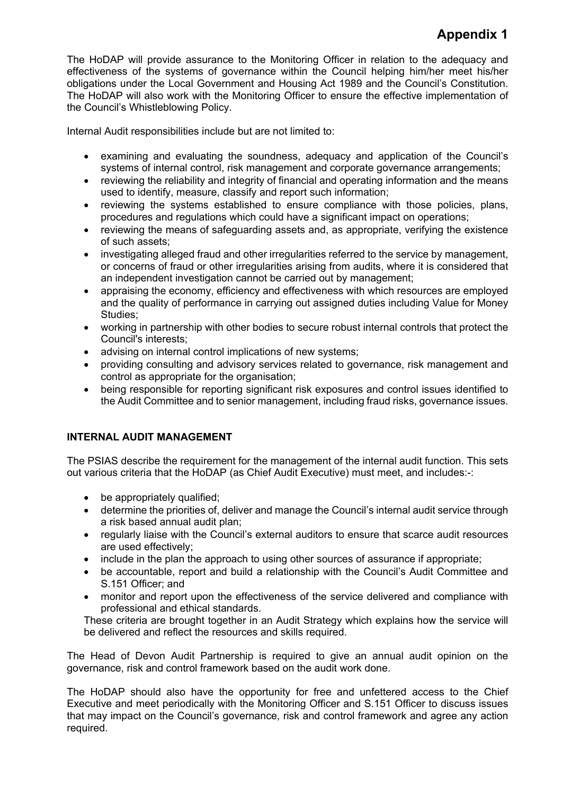## **Appendix 1**

The HoDAP will provide assurance to the Monitoring Officer in relation to the adequacy and effectiveness of the systems of governance within the Council helping him/her meet his/her obligations under the Local Government and Housing Act 1989 and the Council's Constitution. The HoDAP will also work with the Monitoring Officer to ensure the effective implementation of the Council's Whistleblowing Policy.

Internal Audit responsibilities include but are not limited to:

- examining and evaluating the soundness, adequacy and application of the Council's systems of internal control, risk management and corporate governance arrangements;
- reviewing the reliability and integrity of financial and operating information and the means used to identify, measure, classify and report such information;
- reviewing the systems established to ensure compliance with those policies, plans, procedures and regulations which could have a significant impact on operations;
- reviewing the means of safeguarding assets and, as appropriate, verifying the existence of such assets;
- investigating alleged fraud and other irregularities referred to the service by management, or concerns of fraud or other irregularities arising from audits, where it is considered that an independent investigation cannot be carried out by management;
- appraising the economy, efficiency and effectiveness with which resources are employed and the quality of performance in carrying out assigned duties including Value for Money Studies;
- working in partnership with other bodies to secure robust internal controls that protect the Council's interests;
- advising on internal control implications of new systems;
- providing consulting and advisory services related to governance, risk management and control as appropriate for the organisation;
- being responsible for reporting significant risk exposures and control issues identified to the Audit Committee and to senior management, including fraud risks, governance issues.

### **INTERNAL AUDIT MANAGEMENT**

The PSIAS describe the requirement for the management of the internal audit function. This sets out various criteria that the HoDAP (as Chief Audit Executive) must meet, and includes:-:

- be appropriately qualified;
- determine the priorities of, deliver and manage the Council's internal audit service through a risk based annual audit plan;
- regularly liaise with the Council's external auditors to ensure that scarce audit resources are used effectively;
- include in the plan the approach to using other sources of assurance if appropriate;
- be accountable, report and build a relationship with the Council's Audit Committee and S.151 Officer; and
- monitor and report upon the effectiveness of the service delivered and compliance with professional and ethical standards.

These criteria are brought together in an Audit Strategy which explains how the service will be delivered and reflect the resources and skills required.

The Head of Devon Audit Partnership is required to give an annual audit opinion on the governance, risk and control framework based on the audit work done.

The HoDAP should also have the opportunity for free and unfettered access to the Chief Executive and meet periodically with the Monitoring Officer and S.151 Officer to discuss issues that may impact on the Council's governance, risk and control framework and agree any action required.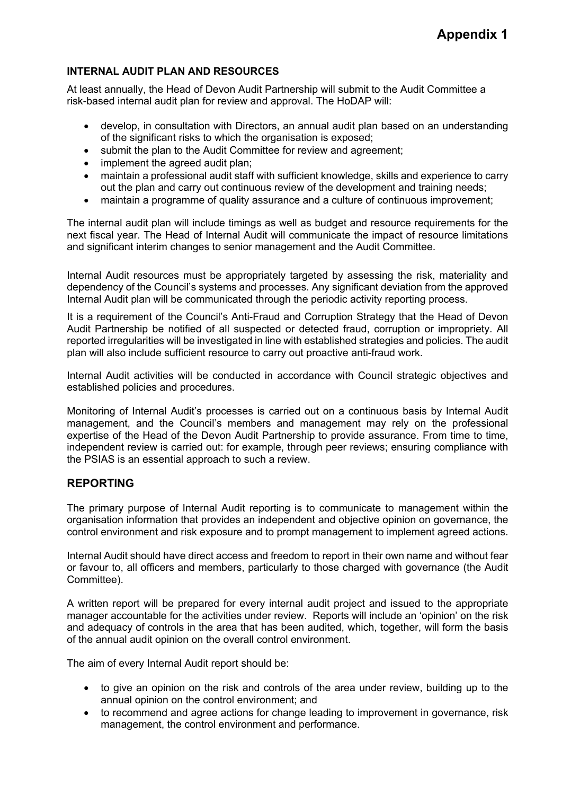#### **INTERNAL AUDIT PLAN AND RESOURCES**

At least annually, the Head of Devon Audit Partnership will submit to the Audit Committee a risk-based internal audit plan for review and approval. The HoDAP will:

- develop, in consultation with Directors, an annual audit plan based on an understanding of the significant risks to which the organisation is exposed;
- submit the plan to the Audit Committee for review and agreement;
- implement the agreed audit plan:
- maintain a professional audit staff with sufficient knowledge, skills and experience to carry out the plan and carry out continuous review of the development and training needs;
- maintain a programme of quality assurance and a culture of continuous improvement;

The internal audit plan will include timings as well as budget and resource requirements for the next fiscal year. The Head of Internal Audit will communicate the impact of resource limitations and significant interim changes to senior management and the Audit Committee.

Internal Audit resources must be appropriately targeted by assessing the risk, materiality and dependency of the Council's systems and processes. Any significant deviation from the approved Internal Audit plan will be communicated through the periodic activity reporting process.

It is a requirement of the Council's Anti-Fraud and Corruption Strategy that the Head of Devon Audit Partnership be notified of all suspected or detected fraud, corruption or impropriety. All reported irregularities will be investigated in line with established strategies and policies. The audit plan will also include sufficient resource to carry out proactive anti-fraud work.

Internal Audit activities will be conducted in accordance with Council strategic objectives and established policies and procedures.

Monitoring of Internal Audit's processes is carried out on a continuous basis by Internal Audit management, and the Council's members and management may rely on the professional expertise of the Head of the Devon Audit Partnership to provide assurance. From time to time, independent review is carried out: for example, through peer reviews; ensuring compliance with the PSIAS is an essential approach to such a review.

#### **REPORTING**

The primary purpose of Internal Audit reporting is to communicate to management within the organisation information that provides an independent and objective opinion on governance, the control environment and risk exposure and to prompt management to implement agreed actions.

Internal Audit should have direct access and freedom to report in their own name and without fear or favour to, all officers and members, particularly to those charged with governance (the Audit Committee).

A written report will be prepared for every internal audit project and issued to the appropriate manager accountable for the activities under review. Reports will include an 'opinion' on the risk and adequacy of controls in the area that has been audited, which, together, will form the basis of the annual audit opinion on the overall control environment.

The aim of every Internal Audit report should be:

- to give an opinion on the risk and controls of the area under review, building up to the annual opinion on the control environment; and
- to recommend and agree actions for change leading to improvement in governance, risk management, the control environment and performance.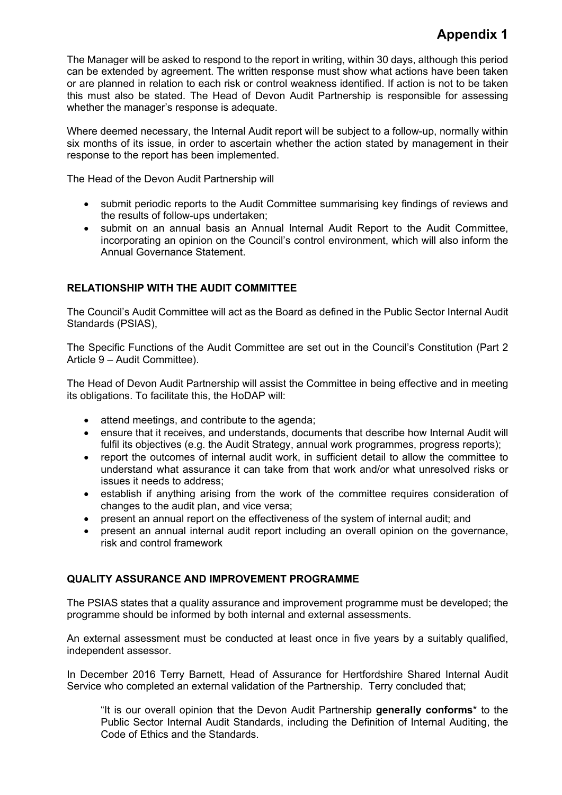## **Appendix 1**

The Manager will be asked to respond to the report in writing, within 30 days, although this period can be extended by agreement. The written response must show what actions have been taken or are planned in relation to each risk or control weakness identified. If action is not to be taken this must also be stated. The Head of Devon Audit Partnership is responsible for assessing whether the manager's response is adequate.

Where deemed necessary, the Internal Audit report will be subject to a follow-up, normally within six months of its issue, in order to ascertain whether the action stated by management in their response to the report has been implemented.

The Head of the Devon Audit Partnership will

- submit periodic reports to the Audit Committee summarising key findings of reviews and the results of follow-ups undertaken;
- submit on an annual basis an Annual Internal Audit Report to the Audit Committee, incorporating an opinion on the Council's control environment, which will also inform the Annual Governance Statement.

### **RELATIONSHIP WITH THE AUDIT COMMITTEE**

The Council's Audit Committee will act as the Board as defined in the Public Sector Internal Audit Standards (PSIAS),

The Specific Functions of the Audit Committee are set out in the Council's Constitution (Part 2 Article 9 – Audit Committee).

The Head of Devon Audit Partnership will assist the Committee in being effective and in meeting its obligations. To facilitate this, the HoDAP will:

- attend meetings, and contribute to the agenda;
- ensure that it receives, and understands, documents that describe how Internal Audit will fulfil its objectives (e.g. the Audit Strategy, annual work programmes, progress reports);
- report the outcomes of internal audit work, in sufficient detail to allow the committee to understand what assurance it can take from that work and/or what unresolved risks or issues it needs to address;
- establish if anything arising from the work of the committee requires consideration of changes to the audit plan, and vice versa;
- present an annual report on the effectiveness of the system of internal audit; and
- present an annual internal audit report including an overall opinion on the governance, risk and control framework

### **QUALITY ASSURANCE AND IMPROVEMENT PROGRAMME**

The PSIAS states that a quality assurance and improvement programme must be developed; the programme should be informed by both internal and external assessments.

An external assessment must be conducted at least once in five years by a suitably qualified, independent assessor.

In December 2016 Terry Barnett, Head of Assurance for Hertfordshire Shared Internal Audit Service who completed an external validation of the Partnership. Terry concluded that;

"It is our overall opinion that the Devon Audit Partnership **generally conforms**\* to the Public Sector Internal Audit Standards, including the Definition of Internal Auditing, the Code of Ethics and the Standards.